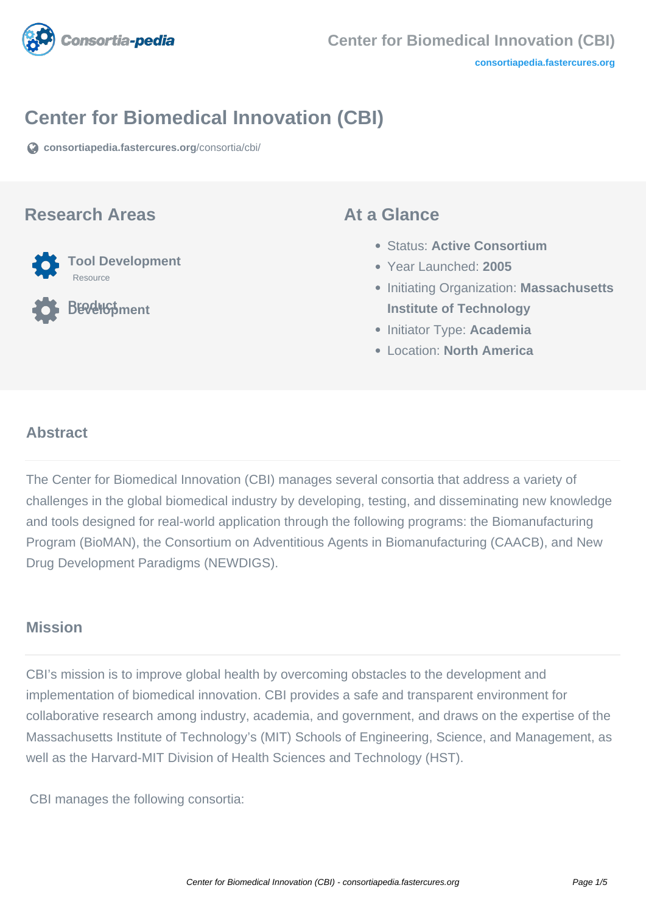

## **Center for Biomedical Innovation (CBI)**

**[consortiapedia.fastercures.org](https://consortiapedia.fastercures.org/consortia/cbi/)**[/consortia/cbi/](https://consortiapedia.fastercures.org/consortia/cbi/)

### **Research Areas**



**Product Development**

### **At a Glance**

- Status: **Active Consortium**
- Year Launched: **2005**
- **Initiating Organization: Massachusetts Institute of Technology**
- Initiator Type: **Academia**
- Location: **North America**

#### $\overline{a}$ **Abstract**

The Center for Biomedical Innovation (CBI) manages several consortia that address a variety of challenges in the global biomedical industry by developing, testing, and disseminating new knowledge and tools designed for real-world application through the following programs: the Biomanufacturing Program (BioMAN), the Consortium on Adventitious Agents in Biomanufacturing (CAACB), and New Drug Development Paradigms (NEWDIGS).

### **Mission**

CBI's mission is to improve global health by overcoming obstacles to the development and implementation of biomedical innovation. CBI provides a safe and transparent environment for collaborative research among industry, academia, and government, and draws on the expertise of the Massachusetts Institute of Technology's (MIT) Schools of Engineering, Science, and Management, as well as the Harvard-MIT Division of Health Sciences and Technology (HST).

CBI manages the following consortia: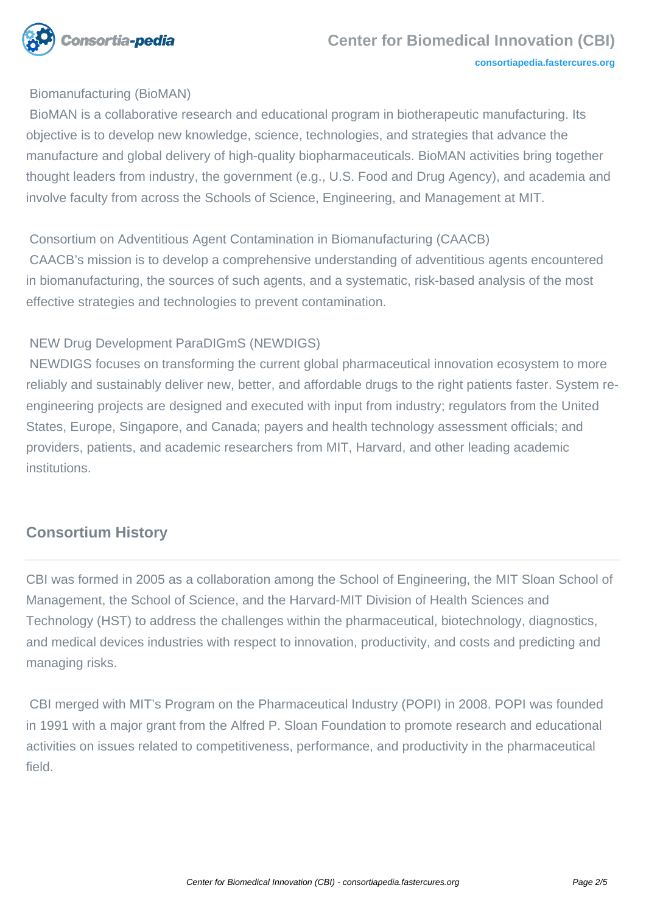

#### Biomanufacturing (BioMAN)

 BioMAN is a collaborative research and educational program in biotherapeutic manufacturing. Its objective is to develop new knowledge, science, technologies, and strategies that advance the manufacture and global delivery of high-quality biopharmaceuticals. BioMAN activities bring together thought leaders from industry, the government (e.g., U.S. Food and Drug Agency), and academia and involve faculty from across the Schools of Science, Engineering, and Management at MIT.

#### Consortium on Adventitious Agent Contamination in Biomanufacturing (CAACB)

 CAACB's mission is to develop a comprehensive understanding of adventitious agents encountered in biomanufacturing, the sources of such agents, and a systematic, risk-based analysis of the most effective strategies and technologies to prevent contamination.

#### NEW Drug Development ParaDIGmS (NEWDIGS)

 NEWDIGS focuses on transforming the current global pharmaceutical innovation ecosystem to more reliably and sustainably deliver new, better, and affordable drugs to the right patients faster. System reengineering projects are designed and executed with input from industry; regulators from the United States, Europe, Singapore, and Canada; payers and health technology assessment officials; and providers, patients, and academic researchers from MIT, Harvard, and other leading academic institutions.

### **Consortium History**

CBI was formed in 2005 as a collaboration among the School of Engineering, the MIT Sloan School of Management, the School of Science, and the Harvard-MIT Division of Health Sciences and Technology (HST) to address the challenges within the pharmaceutical, biotechnology, diagnostics, and medical devices industries with respect to innovation, productivity, and costs and predicting and managing risks.

 CBI merged with MIT's Program on the Pharmaceutical Industry (POPI) in 2008. POPI was founded in 1991 with a major grant from the Alfred P. Sloan Foundation to promote research and educational activities on issues related to competitiveness, performance, and productivity in the pharmaceutical field.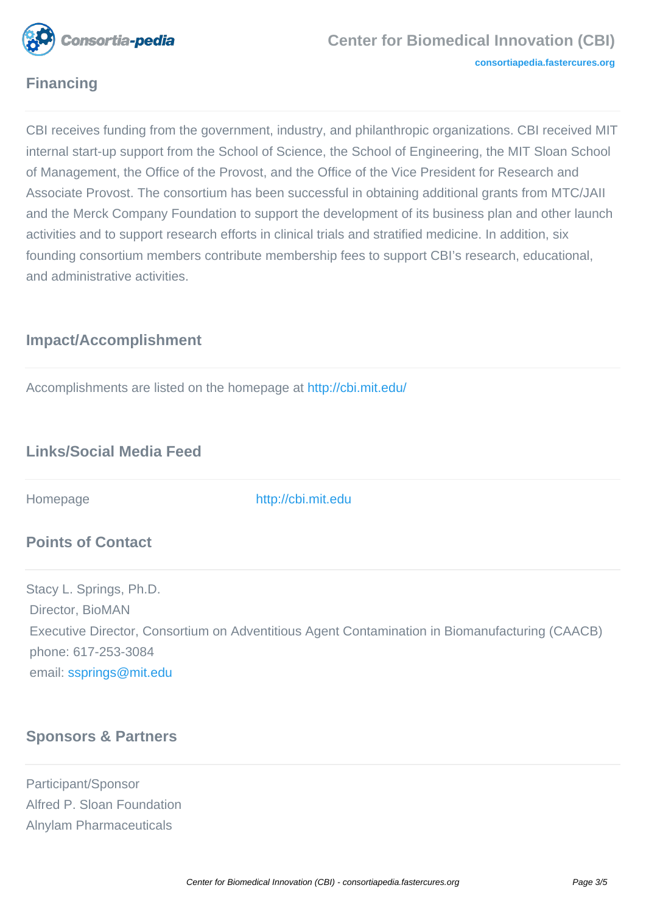

# **Financing**

CBI receives funding from the government, industry, and philanthropic organizations. CBI received MIT internal start-up support from the School of Science, the School of Engineering, the MIT Sloan School of Management, the Office of the Provost, and the Office of the Vice President for Research and Associate Provost. The consortium has been successful in obtaining additional grants from MTC/JAII and the Merck Company Foundation to support the development of its business plan and other launch activities and to support research efforts in clinical trials and stratified medicine. In addition, six founding consortium members contribute membership fees to support CBI's research, educational, and administrative activities.

# **Impact/Accomplishment**

Accomplishments are listed on the homepage at<http://cbi.mit.edu/>

# **Links/Social Media Feed**

Homepage <http://cbi.mit.edu>

### **Points of Contact**

Stacy L. Springs, Ph.D. Director, BioMAN Executive Director, Consortium on Adventitious Agent Contamination in Biomanufacturing (CAACB) phone: 617-253-3084 email: [ssprings@mit.edu](mailto:ssprings@mit.edu)

# **Sponsors & Partners**

Participant/Sponsor Alfred P. Sloan Foundation Alnylam Pharmaceuticals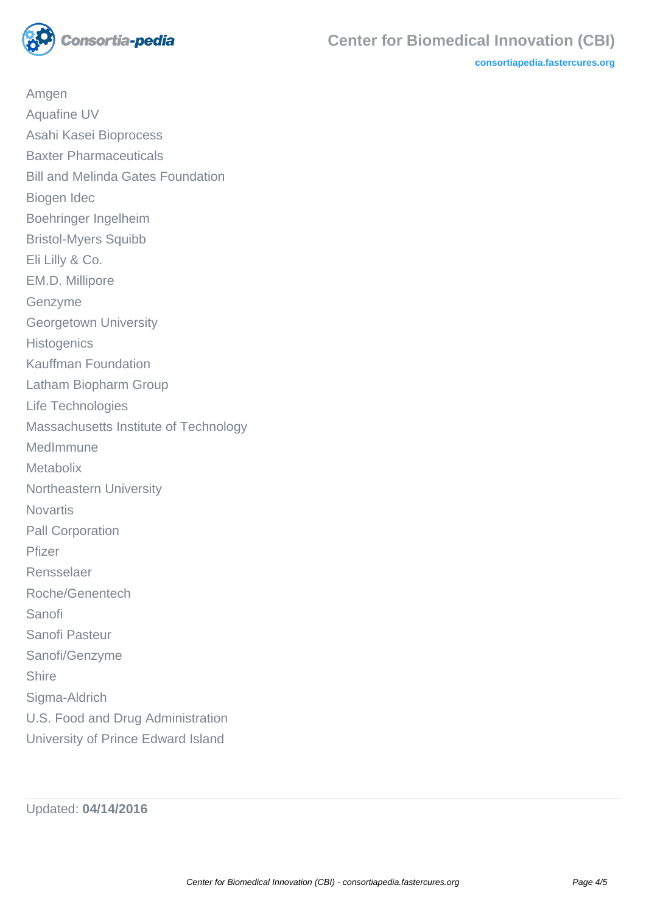

**[consortiapedia.fastercures.org](http://consortiapedia.fastercures.org/)**

Amgen Aquafine UV Asahi Kasei Bioprocess Baxter Pharmaceuticals Bill and Melinda Gates Foundation Biogen Idec Boehringer Ingelheim Bristol-Myers Squibb Eli Lilly & Co. EM.D. Millipore Genzyme Georgetown University **Histogenics** Kauffman Foundation Latham Biopharm Group Life Technologies Massachusetts Institute of Technology MedImmune **Metabolix** Northeastern University **Novartis** Pall Corporation Pfizer Rensselaer Roche/Genentech Sanofi Sanofi Pasteur Sanofi/Genzyme **Shire** Sigma-Aldrich U.S. Food and Drug Administration University of Prince Edward Island

Updated: **04/14/2016**